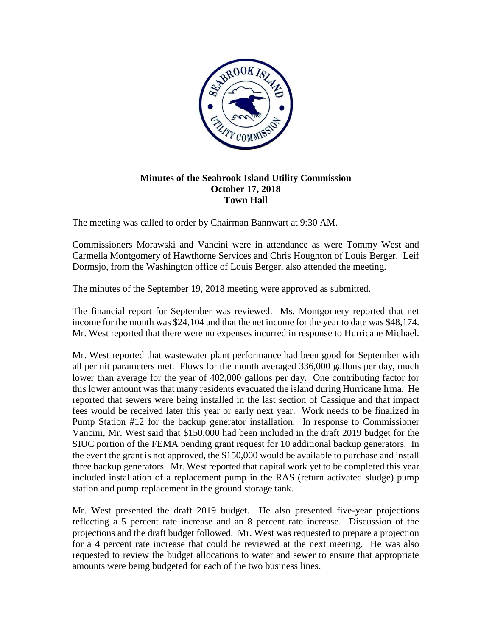

## **Minutes of the Seabrook Island Utility Commission October 17, 2018 Town Hall**

The meeting was called to order by Chairman Bannwart at 9:30 AM.

Commissioners Morawski and Vancini were in attendance as were Tommy West and Carmella Montgomery of Hawthorne Services and Chris Houghton of Louis Berger. Leif Dormsjo, from the Washington office of Louis Berger, also attended the meeting.

The minutes of the September 19, 2018 meeting were approved as submitted.

The financial report for September was reviewed. Ms. Montgomery reported that net income for the month was \$24,104 and that the net income for the year to date was \$48,174. Mr. West reported that there were no expenses incurred in response to Hurricane Michael.

Mr. West reported that wastewater plant performance had been good for September with all permit parameters met. Flows for the month averaged 336,000 gallons per day, much lower than average for the year of 402,000 gallons per day. One contributing factor for this lower amount was that many residents evacuated the island during Hurricane Irma. He reported that sewers were being installed in the last section of Cassique and that impact fees would be received later this year or early next year. Work needs to be finalized in Pump Station #12 for the backup generator installation. In response to Commissioner Vancini, Mr. West said that \$150,000 had been included in the draft 2019 budget for the SIUC portion of the FEMA pending grant request for 10 additional backup generators. In the event the grant is not approved, the \$150,000 would be available to purchase and install three backup generators. Mr. West reported that capital work yet to be completed this year included installation of a replacement pump in the RAS (return activated sludge) pump station and pump replacement in the ground storage tank.

Mr. West presented the draft 2019 budget. He also presented five-year projections reflecting a 5 percent rate increase and an 8 percent rate increase. Discussion of the projections and the draft budget followed. Mr. West was requested to prepare a projection for a 4 percent rate increase that could be reviewed at the next meeting. He was also requested to review the budget allocations to water and sewer to ensure that appropriate amounts were being budgeted for each of the two business lines.